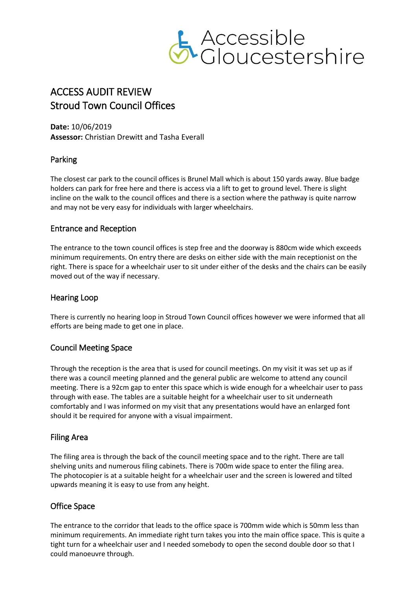

# ACCESS AUDIT REVIEW Stroud Town Council Offices

**Date:** 10/06/2019 **Assessor:** Christian Drewitt and Tasha Everall

## Parking

The closest car park to the council offices is Brunel Mall which is about 150 yards away. Blue badge holders can park for free here and there is access via a lift to get to ground level. There is slight incline on the walk to the council offices and there is a section where the pathway is quite narrow and may not be very easy for individuals with larger wheelchairs.

## Entrance and Reception

The entrance to the town council offices is step free and the doorway is 880cm wide which exceeds minimum requirements. On entry there are desks on either side with the main receptionist on the right. There is space for a wheelchair user to sit under either of the desks and the chairs can be easily moved out of the way if necessary.

## Hearing Loop

There is currently no hearing loop in Stroud Town Council offices however we were informed that all efforts are being made to get one in place.

# Council Meeting Space

Through the reception is the area that is used for council meetings. On my visit it was set up as if there was a council meeting planned and the general public are welcome to attend any council meeting. There is a 92cm gap to enter this space which is wide enough for a wheelchair user to pass through with ease. The tables are a suitable height for a wheelchair user to sit underneath comfortably and I was informed on my visit that any presentations would have an enlarged font should it be required for anyone with a visual impairment.

## Filing Area

The filing area is through the back of the council meeting space and to the right. There are tall shelving units and numerous filing cabinets. There is 700m wide space to enter the filing area. The photocopier is at a suitable height for a wheelchair user and the screen is lowered and tilted upwards meaning it is easy to use from any height.

# Office Space

The entrance to the corridor that leads to the office space is 700mm wide which is 50mm less than minimum requirements. An immediate right turn takes you into the main office space. This is quite a tight turn for a wheelchair user and I needed somebody to open the second double door so that I could manoeuvre through.